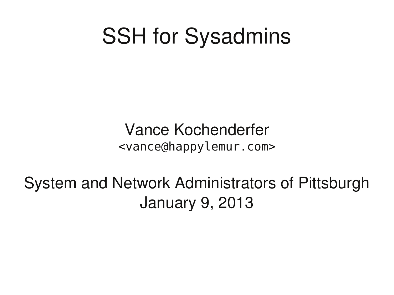#### SSH for Sysadmins

Vance Kochenderfer <vance@happylemur.com>

System and Network Administrators of Pittsburgh January 9, 2013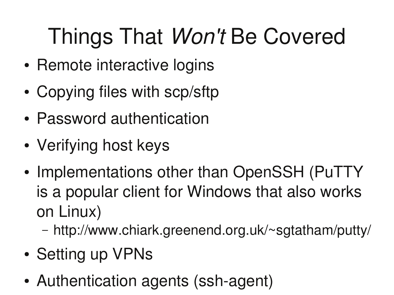# Things That *Won't* Be Covered

- Remote interactive logins
- Copying files with scp/sftp
- Password authentication
- Verifying host keys
- Implementations other than OpenSSH (PuTTY is a popular client for Windows that also works on Linux)
	- http://www.chiark.greenend.org.uk/~sgtatham/putty/
- Setting up VPNs
- Authentication agents (ssh-agent)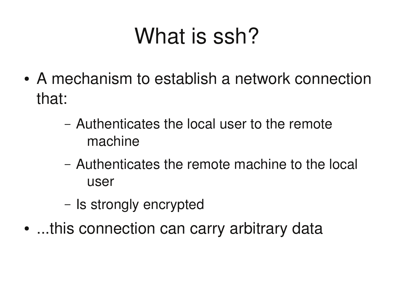## What is ssh?

- A mechanism to establish a network connection that:
	- Authenticates the local user to the remote machine
	- Authenticates the remote machine to the local user
	- Is strongly encrypted
- ...this connection can carry arbitrary data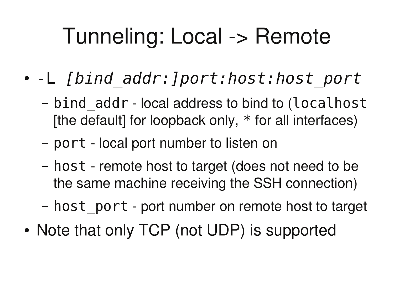## Tunneling: Local -> Remote

- -L [bind\_addr:]port:host:host\_port
	- bind\_addr local address to bind to (localhost [the default] for loopback only,  $*$  for all interfaces)
	- port local port number to listen on
	- host remote host to target (does not need to be the same machine receiving the SSH connection)
	- host\_port port number on remote host to target
- Note that only TCP (not UDP) is supported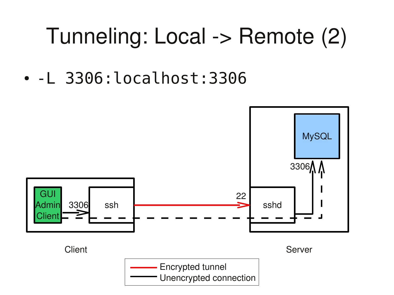### Tunneling: Local -> Remote (2)

 $\bullet$  -L 3306: localhost: 3306

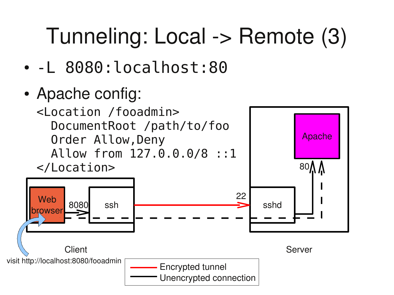## Tunneling: Local -> Remote (3)

- $\bullet$  -L 8080: localhost: 80
- Apache config:

8080

<Location /fooadmin> DocumentRoot /path/to/foo Order Allow, Deny Allow from 127.0.0.0/8 ::1 </Location>



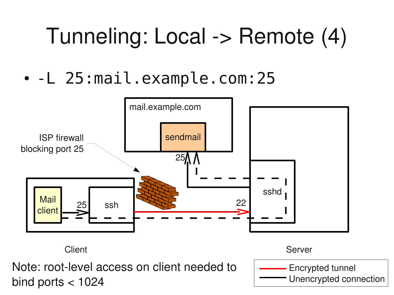## Tunneling: Local -> Remote (4)

• -L 25:mail.example.com:25



Client Server

Note: root-level access on client needed to bind ports  $<$  1024

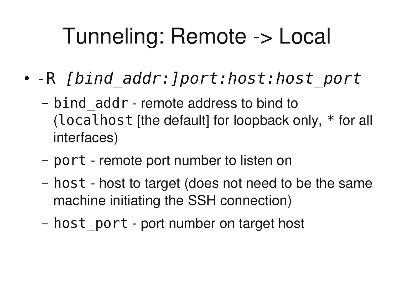## Tunneling: Remote -> Local

- -R [bind\_addr:]port:host:host\_port
	- bind\_addr remote address to bind to (localhost [the default] for loopback only,  $*$  for all interfaces)
	- port remote port number to listen on
	- host host to target (does not need to be the same machine initiating the SSH connection)
	- host\_port port number on target host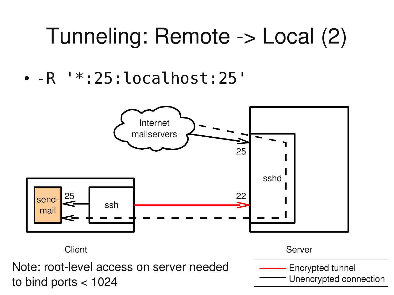#### Tunneling: Remote -> Local (2)

•  $-R$   $'*.25:localhost:25'$ 



Client Server

Note: root-level access on server needed to bind ports < 1024

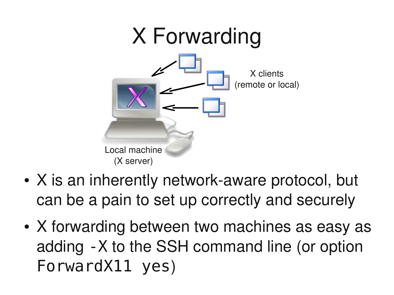

- X is an inherently network-aware protocol, but can be a pain to set up correctly and securely
- X forwarding between two machines as easy as adding - X to the SSH command line (or option ForwardX11 yes)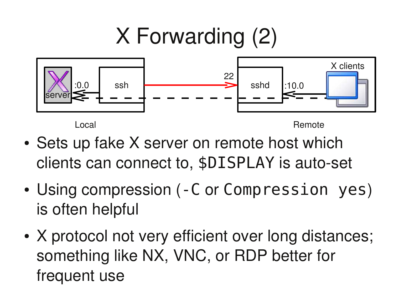## X Forwarding (2)



Local and the contract of the contract of the contract of the Remote

- Sets up fake X server on remote host which clients can connect to, \$DISPLAY is auto-set
- Using compression (-C or Compression yes) is often helpful
- X protocol not very efficient over long distances; something like NX, VNC, or RDP better for frequent use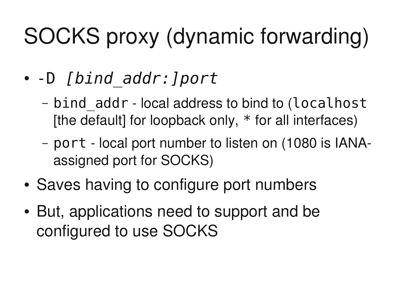# SOCKS proxy (dynamic forwarding)

- -D [bind\_addr:]port
	- bind\_addr local address to bind to (localhost [the default] for loopback only,  $*$  for all interfaces)
	- port local port number to listen on (1080 is IANAassigned port for SOCKS)
- Saves having to configure port numbers
- But, applications need to support and be configured to use SOCKS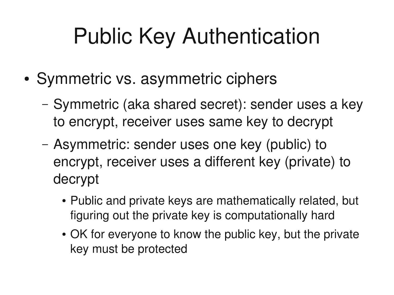## Public Key Authentication

- Symmetric vs. asymmetric ciphers
	- Symmetric (aka shared secret): sender uses a key to encrypt, receiver uses same key to decrypt
	- Asymmetric: sender uses one key (public) to encrypt, receiver uses a different key (private) to decrypt
		- Public and private keys are mathematically related, but figuring out the private key is computationally hard
		- OK for everyone to know the public key, but the private key must be protected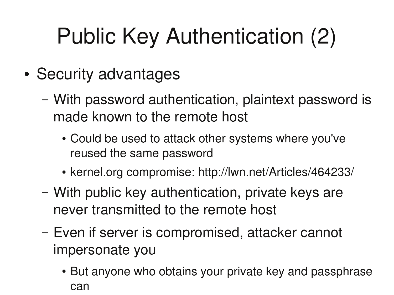# Public Key Authentication (2)

- Security advantages
	- With password authentication, plaintext password is made known to the remote host
		- Could be used to attack other systems where you've reused the same password
		- kernel.org compromise: http://lwn.net/Articles/464233/
	- With public key authentication, private keys are never transmitted to the remote host
	- Even if server is compromised, attacker cannot impersonate you
		- But anyone who obtains your private key and passphrase can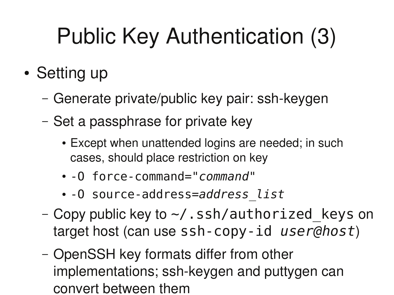# Public Key Authentication (3)

- Setting up
	- Generate private/public key pair: ssh-keygen
	- Set a passphrase for private key
		- Except when unattended logins are needed; in such cases, should place restriction on key
		- - 0 force command="command"
		- · 0 source-address=address list
	- Copy public key to  $\sim$ /.ssh/authorized\_keys on target host (can use  $ssh-copy-id *userQhost*$ )
	- OpenSSH key formats differ from other implementations; ssh-keygen and puttygen can convert between them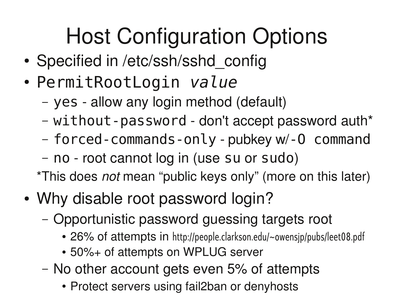# Host Configuration Options

- Specified in /etc/ssh/sshd\_config
- PermitRootLogin value
	- yes allow any login method (default)
	- without-password don't accept password auth\*
	- forced-commands-only-pubkey w/-0 command
	- no root cannot log in (use su or sudo)

\*This does *not* mean "public keys only" (more on this later)

- Why disable root password login?
	- Opportunistic password guessing targets root
		- 26% of attempts in http://people.clarkson.edu/~owensjp/pubs/leet08.pdf
		- 50%+ of attempts on WPLUG server
	- No other account gets even 5% of attempts
		- Protect servers using fail2ban or denyhosts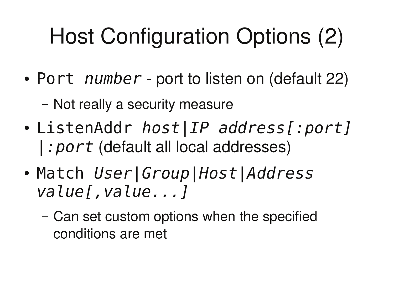# Host Configuration Options (2)

- Port number port to listen on (default 22)
	- Not really a security measure
- ListenAddr *host*|*IP* address[:port]  $|: port$  (default all local addresses)
- Match User Group | Host | Address value[, value...]
	- Can set custom options when the specified conditions are met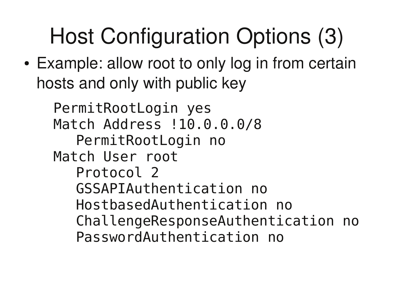# Host Configuration Options (3)

 Example: allow root to only log in from certain hosts and only with public key

PermitRootLogin yes Match Address !10.0.0.0/8 PermitRootLogin no Match User root Protocol 2 GSSAPIAuthentication no HostbasedAuthentication no ChallengeResponseAuthentication no PasswordAuthentication no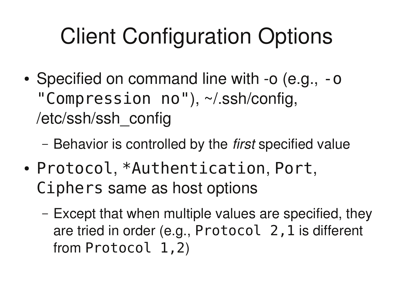## Client Configuration Options

- Specified on command line with -o (e.g., -o "Compression no"), ~/.ssh/config, /etc/ssh/ssh\_config
	- Behavior is controlled by the *first* specified value
- Protocol, \*Authentication, Port, Ciphers same as host options
	- Except that when multiple values are specified, they are tried in order (e.g.,  $Protocol$   $2$ ,  $1$  is different from  $Protocol$  1, 2)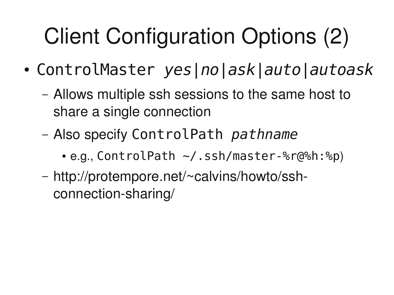# Client Configuration Options (2)

- ControlMaster yes|no|ask|auto|autoask
	- Allows multiple ssh sessions to the same host to share a single connection
	- Also specify ControlPath pathname
		- $\cdot$  e.g., ControlPath  $\sim/$ . ssh/master-%r@%h:%p)
	- http://protempore.net/~calvins/howto/sshconnection-sharing/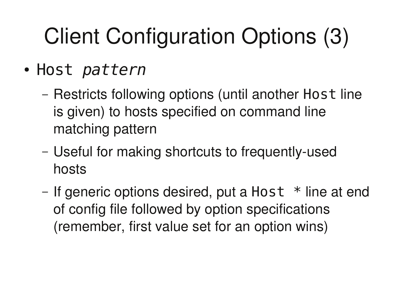# Client Configuration Options (3)

- Host pattern
	- Restricts following options (until another Host line is given) to hosts specified on command line matching pattern
	- Useful for making shortcuts to frequently-used hosts
	- If generic options desired, put a Host  $*$  line at end of config file followed by option specifications (remember, first value set for an option wins)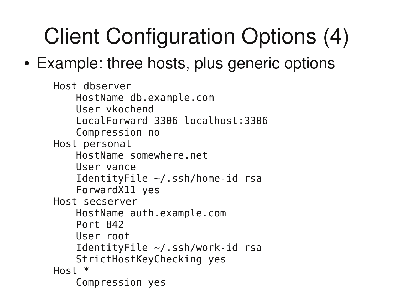# Client Configuration Options (4)

#### • Example: three hosts, plus generic options

```
Host dbserver
   HostName db.example.com
    User vkochend
    LocalForward 3306 localhost: 3306
    Compression no
Host personal
   HostName somewhere.net
    User vance
    IdentityFile \sim/.ssh/home-id rsa
    ForwardX11 yes
Host secserver
   HostName auth.example.com
   Port 842
   User root
    IdentityFile \sim/.ssh/work-id rsa
    StrictHostKeyChecking yes
Host *
    Compression yes
```